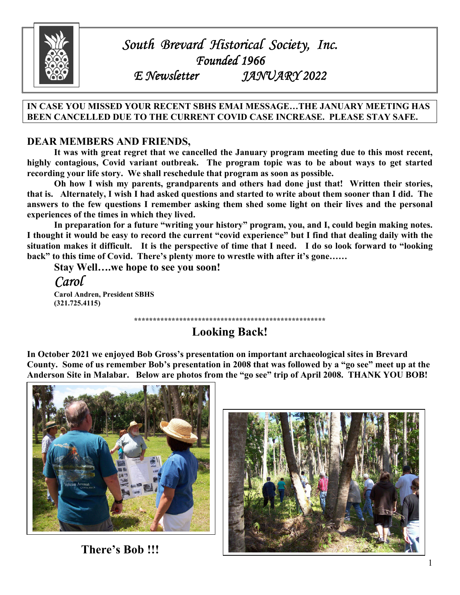

# *South Brevard Historical Society, Inc. Brevard Historical Inc. Founded 1966*<br>*F. Newsletter* 12W *E Newsletter JANUARY 2022 2022*

#### **IN CASE YOU MISSED YOUR RECENT SBHS EMAI MESSAGE…THE JANUARY MEETING HAS BEEN CANCELLED DUE TO THE CURRENT COVID CASE INCREASE. PLEASE STAY SAFE.**

### **DEAR MEMBERS AND FRIENDS,**

 **It was with great regret that we cancelled the January program meeting due to this most recent, highly contagious, Covid variant outbreak. The program topic was to be about ways to get started recording your life story. We shall reschedule that program as soon as possible.** 

 **Oh how I wish my parents, grandparents and others had done just that! Written their stories, that is. Alternately, I wish I had asked questions and started to write about them sooner than I did. The answers to the few questions I remember asking them shed some light on their lives and the personal experiences of the times in which they lived.** 

 **In preparation for a future "writing your history" program, you, and I, could begin making notes. I thought it would be easy to record the current "covid experience" but I find that dealing daily with the situation makes it difficult. It is the perspective of time that I need. I do so look forward to "looking back" to this time of Covid. There's plenty more to wrestle with after it's gone……**

 **Stay Well….we hope to see you soon!** 

*Carol*

 **Carol Andren, President SBHS (321.725.4115)** 

**\*\*\*\*\*\*\*\*\*\*\*\*\*\*\*\*\*\*\*\*\*\*\*\*\*\*\*\*\*\*\*\*\*\*\*\*\*\*\*\*\*\*\*\*\*\*\*\*\*\*\***

**Looking Back!** 

**In October 2021 we enjoyed Bob Gross's presentation on important archaeological sites in Brevard County. Some of us remember Bob's presentation in 2008 that was followed by a "go see" meet up at the Anderson Site in Malabar. Below are photos from the "go see" trip of April 2008. THANK YOU BOB!** 



 **There's Bob !!!** 

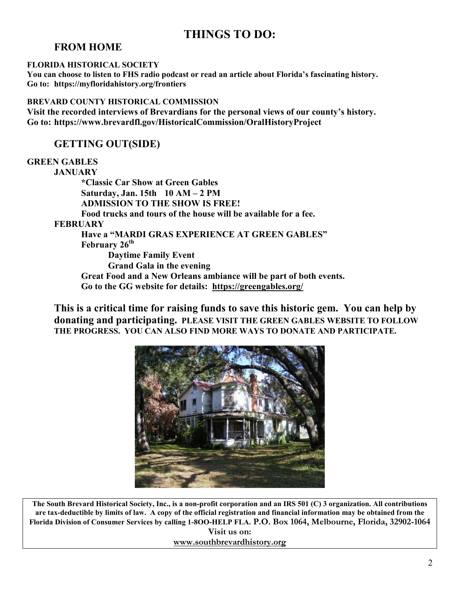## **THINGS TO DO:**

### **FROM HOME**

#### **FLORIDA HISTORICAL SOCIETY**

**You can choose to listen to FHS radio podcast or read an article about Florida's fascinating history. Go to: https://myfloridahistory.org/frontiers** 

#### **BREVARD COUNTY HISTORICAL COMMISSION**

**Visit the recorded interviews of Brevardians for the personal views of our county's history. Go to: https://www.brevardfl.gov/HistoricalCommission/OralHistoryProject** 

## **GETTING OUT(SIDE)**

#### **GREEN GABLES**

 **JANUARY \*Classic Car Show at Green Gables Saturday, Jan. 15th 10 AM – 2 PM ADMISSION TO THE SHOW IS FREE! Food trucks and tours of the house will be available for a fee. FEBRUARY Have a "MARDI GRAS EXPERIENCE AT GREEN GABLES" February 26th Daytime Family Event Grand Gala in the evening Great Food and a New Orleans ambiance will be part of both events. Go to the GG website for details: https://greengables.org/** 

**This is a critical time for raising funds to save this historic gem. You can help by donating and participating. PLEASE VISIT THE GREEN GABLES WEBSITE TO FOLLOW THE PROGRESS. YOU CAN ALSO FIND MORE WAYS TO DONATE AND PARTICIPATE.** 



**The South Brevard Historical Society, Inc., is a non-profit corporation and an IRS 501 (C) 3 organization. All contributions are tax-deductible by limits of law. A copy of the official registration and financial information may be obtained from the Florida Division of Consumer Services by calling 1-8OO-HELP FLA. P.O. Box 1064, Melbourne, Florida, 32902-1064 Visit us on:** 

**www.southbrevardhistory.org**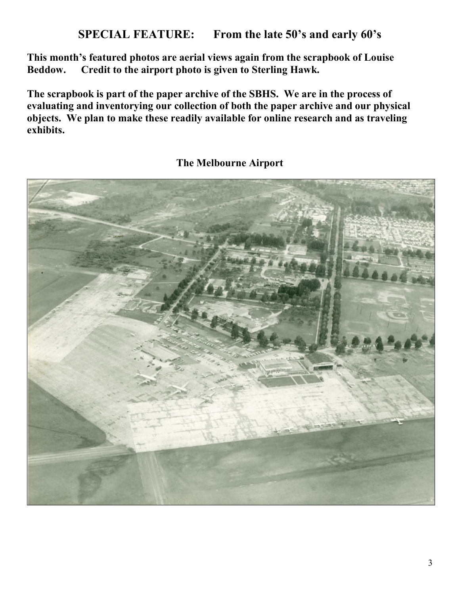**This month's featured photos are aerial views again from the scrapbook of Louise Beddow. Credit to the airport photo is given to Sterling Hawk.** 

**The scrapbook is part of the paper archive of the SBHS. We are in the process of evaluating and inventorying our collection of both the paper archive and our physical objects. We plan to make these readily available for online research and as traveling exhibits.** 



## **The Melbourne Airport**